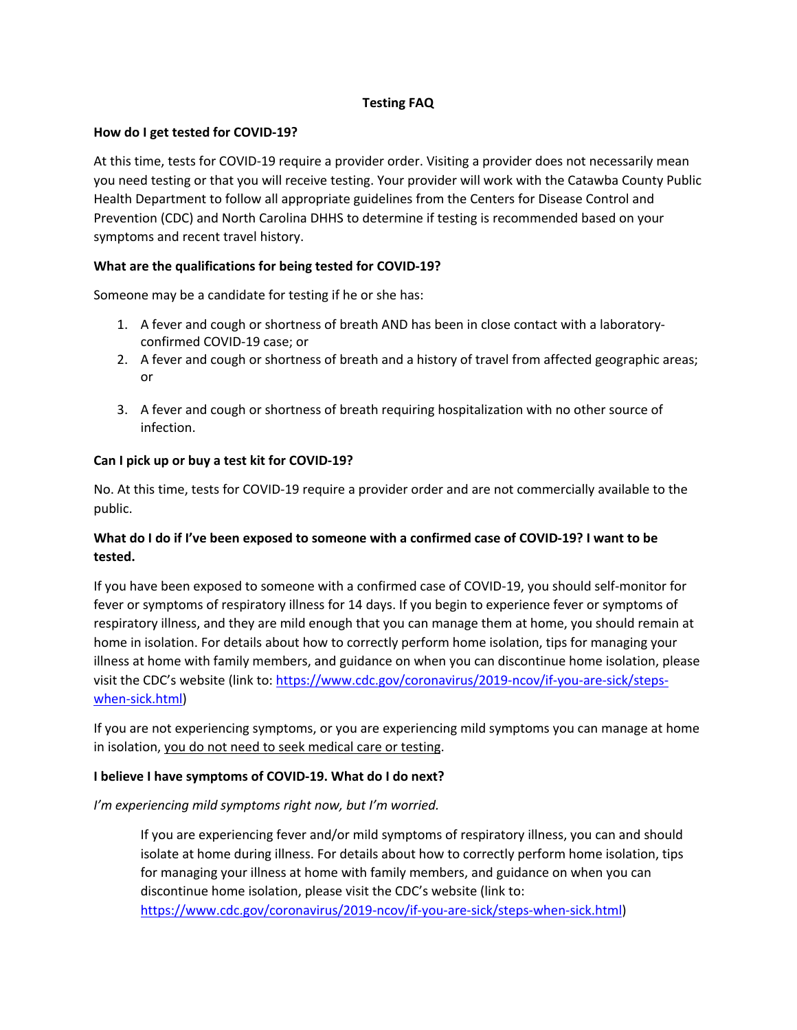# **Testing FAQ**

### **How do I get tested for COVID-19?**

At this time, tests for COVID-19 require a provider order. Visiting a provider does not necessarily mean you need testing or that you will receive testing. Your provider will work with the Catawba County Public Health Department to follow all appropriate guidelines from the Centers for Disease Control and Prevention (CDC) and North Carolina DHHS to determine if testing is recommended based on your symptoms and recent travel history.

#### **What are the qualifications for being tested for COVID-19?**

Someone may be a candidate for testing if he or she has:

- 1. A fever and cough or shortness of breath AND has been in close contact with a laboratoryconfirmed COVID-19 case; or
- 2. A fever and cough or shortness of breath and a history of travel from affected geographic areas; or
- 3. A fever and cough or shortness of breath requiring hospitalization with no other source of infection.

#### **Can I pick up or buy a test kit for COVID-19?**

No. At this time, tests for COVID-19 require a provider order and are not commercially available to the public.

# **What do I do if I've been exposed to someone with a confirmed case of COVID-19? I want to be tested.**

If you have been exposed to someone with a confirmed case of COVID-19, you should self-monitor for fever or symptoms of respiratory illness for 14 days. If you begin to experience fever or symptoms of respiratory illness, and they are mild enough that you can manage them at home, you should remain at home in isolation. For details about how to correctly perform home isolation, tips for managing your illness at home with family members, and guidance on when you can discontinue home isolation, please visit the CDC's website (link to: https://www.cdc.gov/coronavirus/2019-ncov/if-you-are-sick/stepswhen-sick.html)

If you are not experiencing symptoms, or you are experiencing mild symptoms you can manage at home in isolation, you do not need to seek medical care or testing.

# **I believe I have symptoms of COVID-19. What do I do next?**

*I'm experiencing mild symptoms right now, but I'm worried.*

If you are experiencing fever and/or mild symptoms of respiratory illness, you can and should isolate at home during illness. For details about how to correctly perform home isolation, tips for managing your illness at home with family members, and guidance on when you can discontinue home isolation, please visit the CDC's website (link to: https://www.cdc.gov/coronavirus/2019-ncov/if-you-are-sick/steps-when-sick.html)